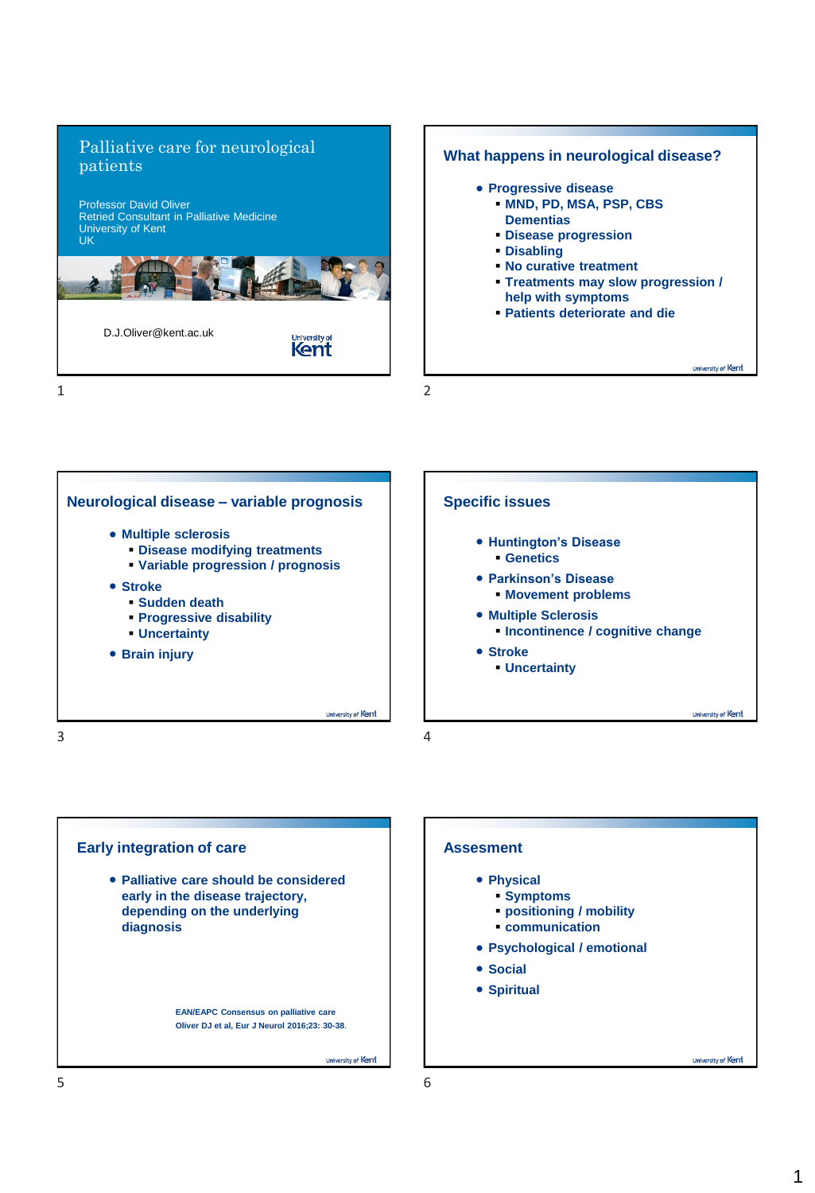





### **Assesment**

- **Physical**
	- **Symptoms**
	- **positioning / mobility**
	- **communication**
- **Psychological / emotional**
- **Social**
- **Spiritual**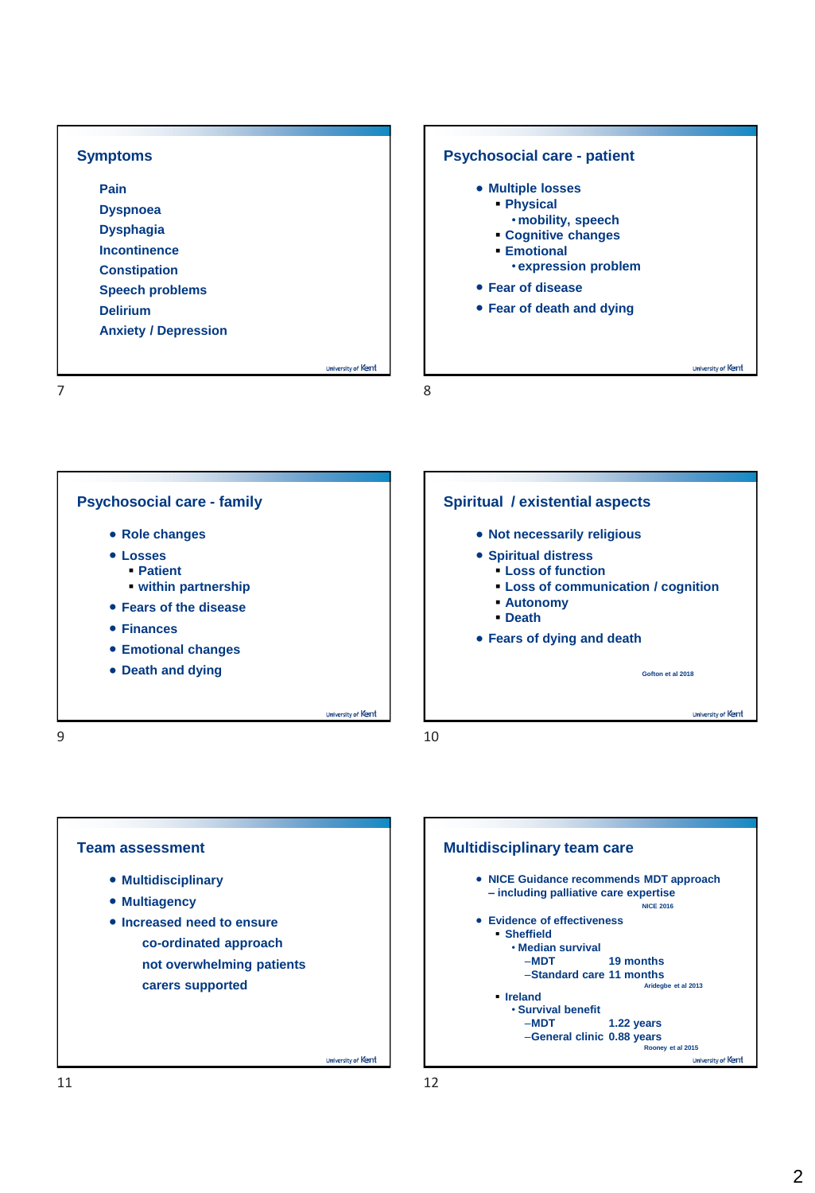| <b>Symptoms</b>                                                                                                                                                       | <b>Psychosocial care - patient</b>                                                                                                                                                |
|-----------------------------------------------------------------------------------------------------------------------------------------------------------------------|-----------------------------------------------------------------------------------------------------------------------------------------------------------------------------------|
| Pain<br><b>Dyspnoea</b><br><b>Dysphagia</b><br><b>Incontinence</b><br><b>Constipation</b><br><b>Speech problems</b><br><b>Delirium</b><br><b>Anxiety / Depression</b> | • Multiple losses<br>• Physical<br>. mobility, speech<br>• Cognitive changes<br><b>Emotional</b><br><b>• expression problem</b><br>• Fear of disease<br>• Fear of death and dying |
| University of Kent                                                                                                                                                    | University of Kent                                                                                                                                                                |





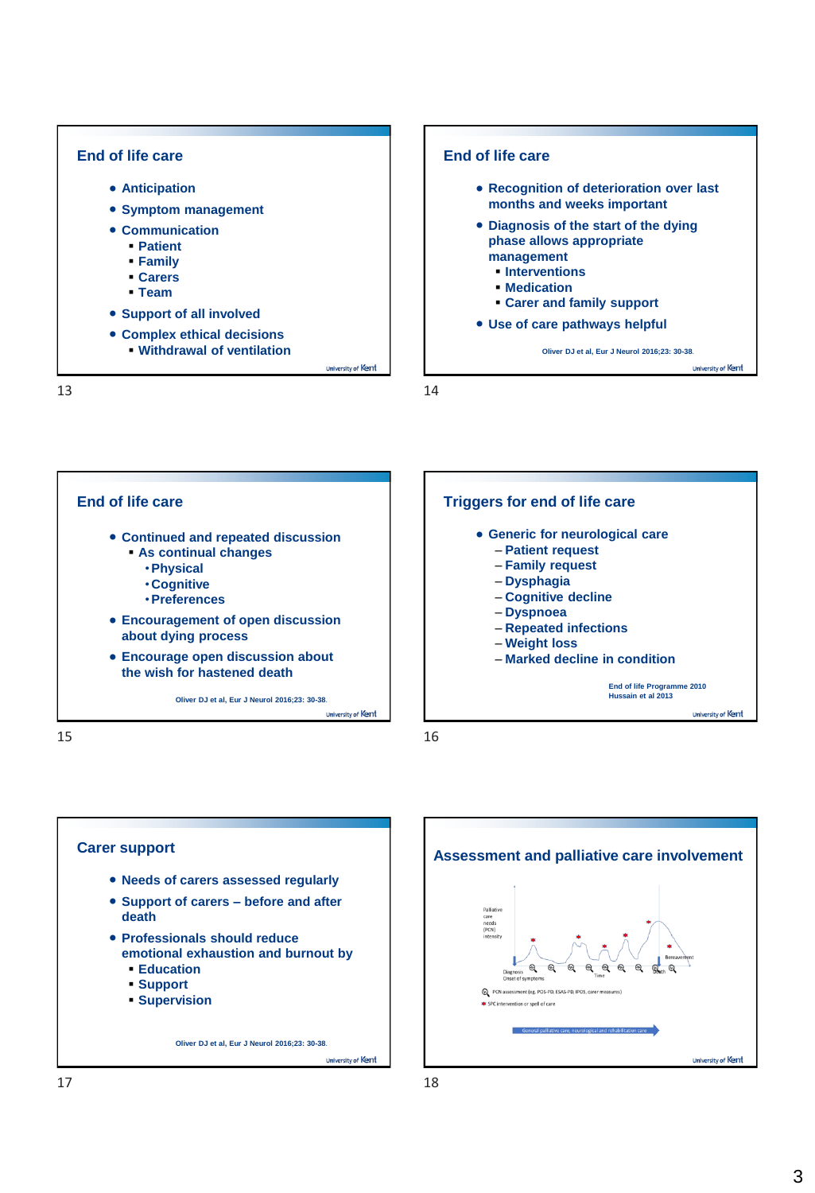

**End of life care**

- **Recognition of deterioration over last months and weeks important**
- **Diagnosis of the start of the dying phase allows appropriate management**
	- **Interventions**
	- **Medication**
	- **Carer and family support**
- **Use of care pathways helpful**

**Oliver DJ et al, Eur J Neurol 2016;23: 30-38**.

University of Kent